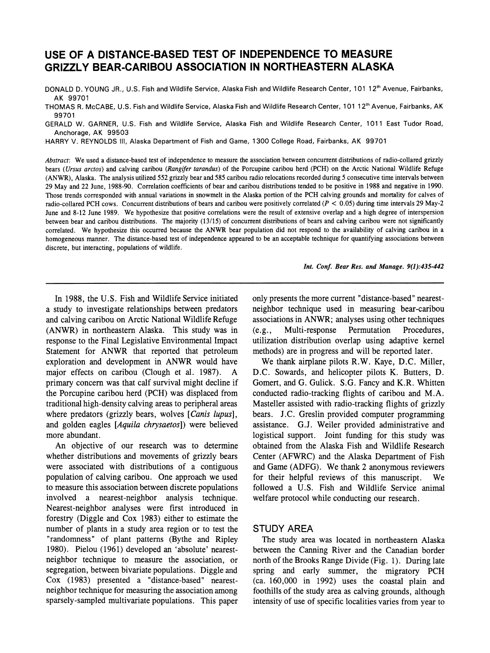# **USE OF A DISTANCE-BASED TEST OF INDEPENDENCE TO MEASURE GRIZZLY BEAR-CARIBOU ASSOCIATION IN NORTHEASTERN ALASKA**

DONALD D. YOUNG JR., U.S. Fish and Wildlife Service, Alaska Fish and Wildlife Research Center, 101 12<sup>th</sup> Avenue, Fairbanks, **AK 99701** 

**THOMAS R. McCABE, U.S. Fish and Wildlife Service, Alaska Fish and Wildlife Research Center, 101 12th Avenue, Fairbanks, AK 99701** 

**GERALD W. GARNER, U.S. Fish and Wildlife Service, Alaska Fish and Wildlife Research Center, 1011 East Tudor Road, Anchorage, AK 99503** 

**HARRY V. REYNOLDS ill, Alaska Department of Fish and Game, 1300 College Road, Fairbanks, AK 99701** 

**Abstract: We used a distance-based test of independence to measure the association between concurrent distributions of radio-collared grizzly bears (Ursus arctos) and calving caribou (Rangifer tarandus) of the Porcupine caribou herd (PCH) on the Arctic National Wildlife Refuge (ANWR), Alaska. The analysis utilized 552 grizzly bear and 585 caribou radio relocations recorded during 5 consecutive time intervals between 29 May and 22 June, 1988-90. Correlation coefficients of bear and caribou distributions tended to be positive in 1988 and negative in 1990. Those trends corresponded with annual variations in snowmelt in the Alaska portion of the PCH calving grounds and mortality for calves of radio-collared PCH cows. Concurrent distributions of bears and caribou were positively correlated (P < 0.05) during time intervals 29 May-2 June and 8-12 June 1989. We hypothesize that positive correlations were the result of extensive overlap and a high degree of interspersion between bear and caribou distributions. The majority (13/15) of concurrent distributions of bears and calving caribou were not significantly correlated. We hypothesize this occurred because the ANWR bear population did not respond to the availability of calving caribou in a homogeneous manner. The distance-based test of independence appeared to be an acceptable technique for quantifying associations between discrete, but interacting, populations of wildlife.** 

**Int. Conf. Bear Res. and Manage. 9(1):435-442** 

**In 1988, the U.S. Fish and Wildlife Service initiated a study to investigate relationships between predators and calving caribou on Arctic National Wildlife Refuge (ANWR) in northeastern Alaska. This study was in response to the Final Legislative Environmental Impact Statement for ANWR that reported that petroleum exploration and development in ANWR would have major effects on caribou (Clough et al. 1987). A primary concern was that calf survival might decline if the Porcupine caribou herd (PCH) was displaced from traditional high-density calving areas to peripheral areas where predators (grizzly bears, wolves [Canis lupus], and golden eagles [Aquila chrysaetos]) were believed more abundant.** 

**An objective of our research was to determine whether distributions and movements of grizzly bears were associated with distributions of a contiguous population of calving caribou. One approach we used to measure this association between discrete populations involved a nearest-neighbor analysis technique. Nearest-neighbor analyses were first introduced in forestry (Diggle and Cox 1983) either to estimate the number of plants in a study area region or to test the "randomness" of plant patterns (Bythe and Ripley 1980). Pielou (1961) developed an 'absolute' nearestneighbor technique to measure the association, or segregation, between bivariate populations. Diggle and Cox (1983) presented a "distance-based" nearestneighbor technique for measuring the association among sparsely-sampled multivariate populations. This paper**  **only presents the more current "distance-based" nearestneighbor technique used in measuring bear-caribou associations in ANWR; analyses using other techniques (e.g., Multi-response Permutation Procedures, utilization distribution overlap using adaptive kernel methods) are in progress and will be reported later.** 

**We thank airplane pilots R.W. Kaye, D.C. Miller, D.C. Sowards, and helicopter pilots K. Butters, D. Gomert, and G. Gulick. S.G. Fancy and K.R. Whitten conducted radio-tracking flights of caribou and M.A. Masteller assisted with radio-tracking flights of grizzly bears. J.C. Greslin provided computer programming assistance. G.J. Weiler provided administrative and logistical support. Joint funding for this study was obtained from the Alaska Fish and Wildlife Research Center (AFWRC) and the Alaska Department of Fish and Game (ADFG). We thank 2 anonymous reviewers for their helpful reviews of this manuscript. We followed a U.S. Fish and Wildlife Service animal welfare protocol while conducting our research.** 

## **STUDY AREA**

**The study area was located in northeastern Alaska between the Canning River and the Canadian border north of the Brooks Range Divide (Fig. 1). During late spring and early summer, the migratory PCH (ca. 160,000 in 1992) uses the coastal plain and foothills of the study area as calving grounds, although intensity of use of specific localities varies from year to**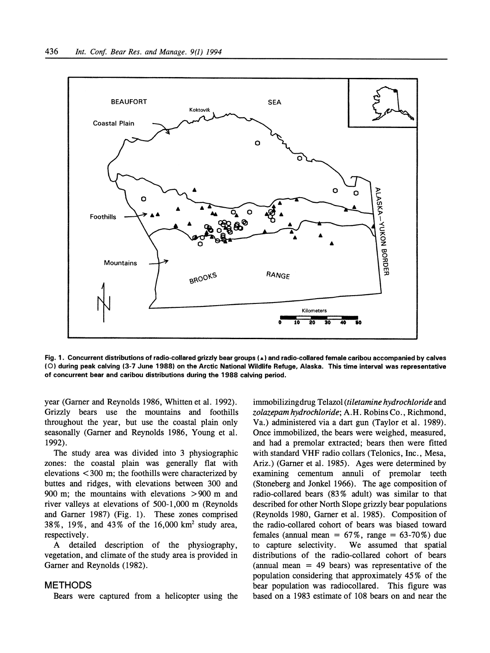

**Fig. 1. Concurrent distributions of radio-collared grizzly bear groups (A) and radio-collared female caribou accompanied by calves (0) during peak calving (3-7 June 1988) on the Arctic National Wildlife Refuge, Alaska. This time interval was representative of concurrent bear and caribou distributions during the 1988 calving period.** 

year (Garner and Reynolds 1986, Whitten et al. 1992). **Grizzly bears use the mountains and foothills throughout the year, but use the coastal plain only seasonally (Gamer and Reynolds 1986, Young et al. 1992).** 

**The study area was divided into 3 physiographic zones: the coastal plain was generally flat with elevations < 300 m; the foothills were characterized by buttes and ridges, with elevations between 300 and 900 m; the mountains with elevations >900 m and river valleys at elevations of 500-1,000 m (Reynolds and Garner 1987) (Fig. 1). These zones comprised 38%, 19%, and 43% of the 16,000 km2 study area, respectively.** 

**A detailed description of the physiography, vegetation, and climate of the study area is provided in**  Garner and Reynolds (1982).

#### **METHODS**

**Bears were captured from a helicopter using the** 

**immobilizingdrug Telazol (tiletamine hydrochloride and zolazepam hydrochloride; A.H. Robins Co., Richmond, Va.) administered via a dart gun (Taylor et al. 1989). Once immobilized, the bears were weighed, measured, and had a premolar extracted; bears then were fitted with standard VHF radio collars (Telonics, Inc., Mesa, Ariz.) (Gamer et al. 1985). Ages were determined by examining cementum annuli of premolar teeth (Stoneberg and Jonkel 1966). The age composition of radio-collared bears (83% adult) was similar to that described for other North Slope grizzly bear populations (Reynolds 1980, Gamer et al. 1985). Composition of the radio-collared cohort of bears was biased toward females (annual mean = 67%, range = 63-70%) due**  We assumed that spatial **distributions of the radio-collared cohort of bears (annual mean = 49 bears) was representative of the population considering that approximately 45% of the bear population was radiocollared. This figure was based on a 1983 estimate of 108 bears on and near the**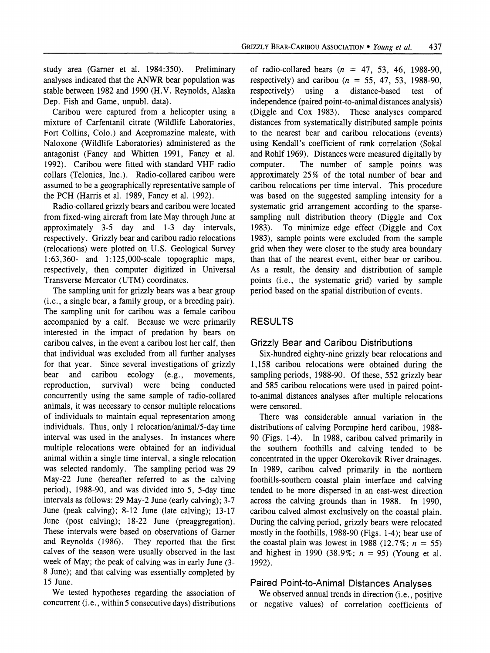**study area (Garner et al. 1984:350). Preliminary analyses indicated that the ANWR bear population was stable between 1982 and 1990 (H.V. Reynolds, Alaska Dep. Fish and Game, unpubl. data).** 

**Caribou were captured from a helicopter using a mixture of Carfentanil citrate (Wildlife Laboratories, Fort Collins, Colo.) and Acepromazine maleate, with Naloxone (Wildlife Laboratories) administered as the antagonist (Fancy and Whitten 1991, Fancy et al. 1992). Caribou were fitted with standard VHF radio collars (Telonics, Inc.). Radio-collared caribou were assumed to be a geographically representative sample of the PCH (Harris et al. 1989, Fancy et al. 1992).** 

**Radio-collared grizzly bears and caribou were located from fixed-wing aircraft from late May through June at approximately 3-5 day and 1-3 day intervals, respectively. Grizzly bear and caribou radio relocations (relocations) were plotted on U.S. Geological Survey 1:63,360- and 1:125,000-scale topographic maps, respectively, then computer digitized in Universal Transverse Mercator (UTM) coordinates.** 

**The sampling unit for grizzly bears was a bear group (i.e., a single bear, a family group, or a breeding pair). The sampling unit for caribou was a female caribou accompanied by a calf. Because we were primarily interested in the impact of predation by bears on caribou calves, in the event a caribou lost her calf, then that individual was excluded from all further analyses for that year. Since several investigations of grizzly bear and caribou ecology (e.g., movements,**  reproduction, **concurrently using the same sample of radio-collared animals, it was necessary to censor multiple relocations of individuals to maintain equal representation among individuals. Thus, only 1 relocation/animal/5-day time interval was used in the analyses. In instances where multiple relocations were obtained for an individual animal within a single time interval, a single relocation was selected randomly. The sampling period was 29 May-22 June (hereafter referred to as the calving period), 1988-90, and was divided into 5, 5-day time intervals as follows: 29 May-2 June (early calving); 3-7 June (peak calving); 8-12 June (late calving); 13-17 June (post calving); 18-22 June (preaggregation).**  These intervals were based on observations of Garner and Reynolds (1986). They reported that the first They reported that the first **calves of the season were usually observed in the last week of May; the peak of calving was in early June (3- 8 June); and that calving was essentially completed by 15 June.** 

**We tested hypotheses regarding the association of concurrent (i.e., within 5 consecutive days) distributions** 

**of radio-collared bears (n = 47, 53, 46, 1988-90,**  respectively) and caribou  $(n = 55, 47, 53, 1988-90,$ <br>respectively) using a distance-based test of **respectively) using a distance-based test of independence (paired point-to-animal distances analysis) (Diggle and Cox 1983). These analyses compared distances from systematically distributed sample points to the nearest bear and caribou relocations (events) using Kendall's coefficient of rank correlation (Sokal and Rohlf 1969). Distances were measured digitally by**  The number of sample points was **approximately 25% of the total number of bear and caribou relocations per time interval. This procedure was based on the suggested sampling intensity for a systematic grid arrangement according to the sparse**sampling null distribution theory (Diggle and Cox 1983). To minimize edge effect (Diggle and Cox **1983). To minimize edge effect (Diggle and Cox 1983), sample points were excluded from the sample grid when they were closer to the study area boundary than that of the nearest event, either bear or caribou. As a result, the density and distribution of sample points (i.e., the systematic grid) varied by sample period based on the spatial distribution of events.** 

## **RESULTS**

## **Grizzly Bear and Caribou Distributions**

**Six-hundred eighty-nine grizzly bear relocations and 1,158 caribou relocations were obtained during the sampling periods, 1988-90. Of these, 552 grizzly bear and 585 caribou relocations were used in paired pointto-animal distances analyses after multiple relocations were censored.** 

**There was considerable annual variation in the distributions of calving Porcupine herd caribou, 1988- 90 (Figs. 1-4). In 1988, caribou calved primarily in the southern foothills and calving tended to be concentrated in the upper Okerokovik River drainages. In 1989, caribou calved primarily in the northern foothills-southern coastal plain interface and calving tended to be more dispersed in an east-west direction across the calving grounds than in 1988. In 1990, caribou calved almost exclusively on the coastal plain. During the calving period, grizzly bears were relocated mostly in the foothills, 1988-90 (Figs. 1-4); bear use of**  the coastal plain was lowest in 1988 (12.7%;  $n = 55$ ) and highest in 1990 (38.9%;  $n = 95$ ) (Young et al. **1992).** 

### **Paired Point-to-Animal Distances Analyses**

**We observed annual trends in direction (i.e., positive or negative values) of correlation coefficients of**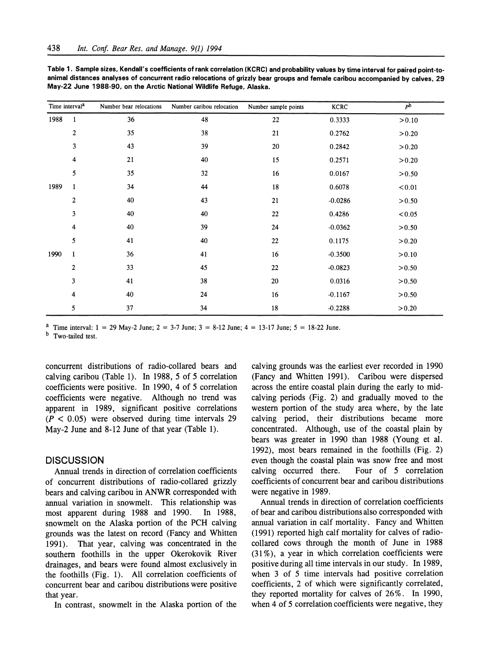| Time interval <sup>a</sup> |                  | Number bear relocations | Number caribou relocation | Number sample points | <b>KCRC</b> | p <sub>b</sub> |
|----------------------------|------------------|-------------------------|---------------------------|----------------------|-------------|----------------|
| 1988                       | $\mathbf{1}$     | 36                      | 48                        | 22                   | 0.3333      | > 0.10         |
|                            | $\boldsymbol{2}$ | 35                      | 38                        | 21                   | 0.2762      | > 0.20         |
|                            | 3                | 43                      | 39                        | 20                   | 0.2842      | > 0.20         |
|                            | 4                | 21                      | 40                        | 15                   | 0.2571      | > 0.20         |
|                            | 5                | 35                      | 32                        | 16                   | 0.0167      | > 0.50         |
| 1989                       | $\mathbf{1}$     | 34                      | 44                        | 18                   | 0.6078      | < 0.01         |
|                            | $\boldsymbol{2}$ | 40                      | 43                        | 21                   | $-0.0286$   | > 0.50         |
|                            | 3                | 40                      | 40                        | 22                   | 0.4286      | < 0.05         |
|                            | 4                | 40                      | 39                        | 24                   | $-0.0362$   | > 0.50         |
|                            | 5                | 41                      | 40                        | 22                   | 0.1175      | > 0.20         |
| 1990                       | $\mathbf{1}$     | 36                      | 41                        | 16                   | $-0.3500$   | > 0.10         |
|                            | $\boldsymbol{2}$ | 33                      | 45                        | 22                   | $-0.0823$   | > 0.50         |
|                            | 3                | 41                      | 38                        | 20                   | 0.0316      | > 0.50         |
|                            | 4                | 40                      | 24                        | 16                   | $-0.1167$   | > 0.50         |
|                            | 5                | 37                      | 34                        | 18                   | $-0.2288$   | > 0.20         |

**Table 1. Sample sizes, Kendall's coefficients of rank correlation (KCRC) and probability values by time interval for paired point-toanimal distances analyses of concurrent radio relocations of grizzly bear groups and female caribou accompanied by calves, 29 May-22 June 1988-90, on the Arctic National Wildlife Refuge, Alaska.** 

<sup>a</sup> Time interval:  $1 = 29$  May-2 June;  $2 = 3$ -7 June;  $3 = 8$ -12 June;  $4 = 13$ -17 June;  $5 = 18$ -22 June.

**b Two-tailed test.** 

**concurrent distributions of radio-collared bears and calving caribou (Table 1). In 1988, 5 of 5 correlation coefficients were positive. In 1990, 4 of 5 correlation coefficients were negative. Although no trend was apparent in 1989, significant positive correlations (P < 0.05) were observed during time intervals 29 May-2 June and 8-12 June of that year (Table 1).** 

### **DISCUSSION**

**Annual trends in direction of correlation coefficients of concurrent distributions of radio-collared grizzly bears and calving caribou in ANWR corresponded with annual variation in snowmelt. This relationship was**  most apparent during 1988 and 1990. **snowmelt on the Alaska portion of the PCH calving grounds was the latest on record (Fancy and Whitten 1991). That year, calving was concentrated in the southern foothills in the upper Okerokovik River drainages, and bears were found almost exclusively in the foothills (Fig. 1). All correlation coefficients of concurrent bear and caribou distributions were positive that year.** 

**In contrast, snowmelt in the Alaska portion of the** 

**calving grounds was the earliest ever recorded in 1990 (Fancy and Whitten 1991). Caribou were dispersed across the entire coastal plain during the early to midcalving periods (Fig. 2) and gradually moved to the western portion of the study area where, by the late calving period, their distributions became more concentrated. Although, use of the coastal plain by bears was greater in 1990 than 1988 (Young et al. 1992), most bears remained in the foothills (Fig. 2)**  even though the coastal plain was snow free and most calving occurred there. Four of 5 correlation Four of 5 correlation **coefficients of concurrent bear and caribou distributions were negative in 1989.** 

**Annual trends in direction of correlation coefficients of bear and caribou distributions also corresponded with annual variation in calf mortality. Fancy and Whitten (1991) reported high calf mortality for calves of radiocollared cows through the month of June in 1988 (31%), a year in which correlation coefficients were positive during all time intervals in our study. In 1989, when 3 of 5 time intervals had positive correlation coefficients, 2 of which were significantly correlated, they reported mortality for calves of 26%. In 1990, when 4 of 5 correlation coefficients were negative, they**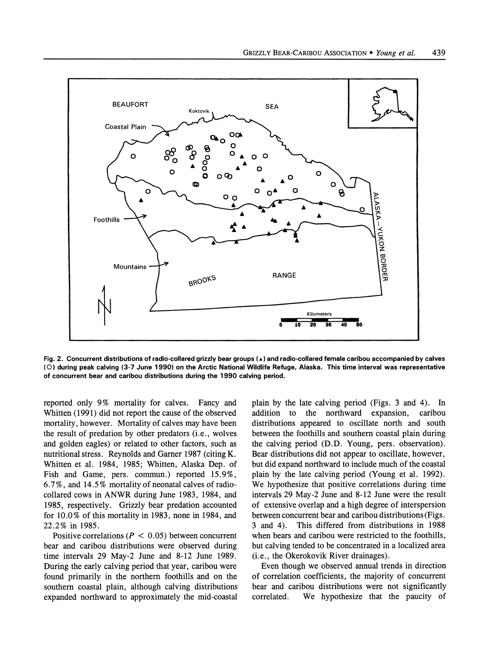

**Fig. 2. Concurrent distributions of radio-collared grizzly bear groups (A) and radio-collared female caribou accompanied by calves (0) during peak calving (3-7 June 1990) on the Arctic National Wildlife Refuge, Alaska. This time interval was representative of concurrent bear and caribou distributions during the 1990 calving period.** 

**reported only 9% mortality for calves. Fancy and Whitten (1991) did not report the cause of the observed mortality, however. Mortality of calves may have been the result of predation by other predators (i.e., wolves and golden eagles) or related to other factors, such as nutritional stress. Reynolds and Gamer 1987 (citing K. Whitten et al. 1984, 1985; Whitten, Alaska Dep. of Fish and Game, pers. commun.) reported 15.9%, 6.7%, and 14.5% mortality of neonatal calves of radiocollared cows in ANWR during June 1983, 1984, and 1985, respectively. Grizzly bear predation accounted for 10.0% of this mortality in 1983, none in 1984, and 22.2% in 1985.** 

Positive correlations ( $P < 0.05$ ) between concurrent **bear and caribou distributions were observed during time intervals 29 May-2 June and 8-12 June 1989. During the early calving period that year, caribou were found primarily in the northern foothills and on the southern coastal plain, although calving distributions expanded northward to approximately the mid-coastal** 

**plain by the late calving period (Figs. 3 and 4). In addition to the northward expansion, caribou distributions appeared to oscillate north and south between the foothills and southern coastal plain during the calving period (D.D. Young, pers. observation). Bear distributions did not appear to oscillate, however, but did expand northward to include much of the coastal plain by the late calving period (Young et al. 1992). We hypothesize that positive correlations during time intervals 29 May-2 June and 8-12 June were the result of extensive overlap and a high degree of interspersion between concurrent bear and caribou distributions (Figs. 3 and 4). This differed from distributions in 1988 when bears and caribou were restricted to the foothills, but calving tended to be concentrated in a localized area (i.e., the Okerokovik River drainages).** 

**Even though we observed annual trends in direction of correlation coefficients, the majority of concurrent bear and caribou distributions were not significantly correlated. We hypothesize that the paucity of**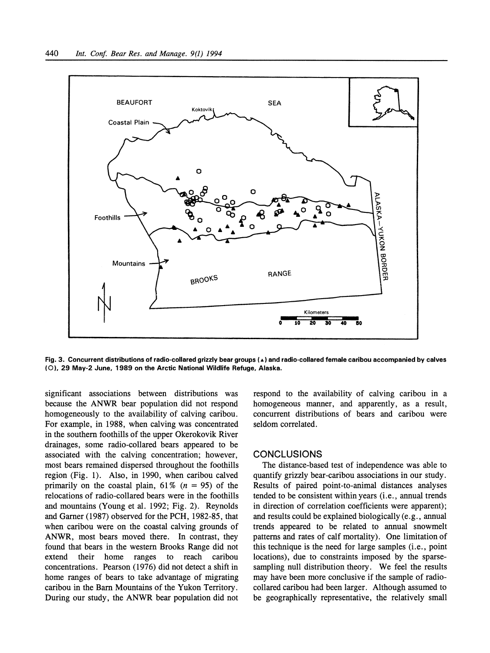

**Fig. 3. Concurrent distributions of radio-collared grizzly bear groups (A) and radio-collared female caribou accompanied by calves (0), 29 May-2 June, 1989 on the Arctic National Wildlife Refuge, Alaska.** 

**significant associations between distributions was because the ANWR bear population did not respond homogeneously to the availability of calving caribou. For example, in 1988, when calving was concentrated in the southern foothills of the upper Okerokovik River drainages, some radio-collared bears appeared to be associated with the calving concentration; however, most bears remained dispersed throughout the foothills region (Fig. 1). Also, in 1990, when caribou calved**  primarily on the coastal plain,  $61\%$  ( $n = 95$ ) of the **relocations of radio-collared bears were in the foothills and mountains (Young et al. 1992; Fig. 2). Reynolds and Garner (1987) observed for the PCH, 1982-85, that when caribou were on the coastal calving grounds of ANWR, most bears moved there. In contrast, they found that bears in the western Brooks Range did not extend their home concentrations. Pearson (1976) did not detect a shift in home ranges of bears to take advantage of migrating caribou in the Barn Mountains of the Yukon Territory. During our study, the ANWR bear population did not** 

**respond to the availability of calving caribou in a homogeneous manner, and apparently, as a result, concurrent distributions of bears and caribou were seldom correlated.** 

## **CONCLUSIONS**

**The distance-based test of independence was able to quantify grizzly bear-caribou associations in our study. Results of paired point-to-animal distances analyses tended to be consistent within years (i.e., annual trends in direction of correlation coefficients were apparent); and results could be explained biologically (e.g., annual trends appeared to be related to annual snowmelt patterns and rates of calf mortality). One limitation of this technique is the need for large samples (i.e., point locations), due to constraints imposed by the sparsesampling null distribution theory. We feel the results may have been more conclusive if the sample of radiocollared caribou had been larger. Although assumed to be geographically representative, the relatively small**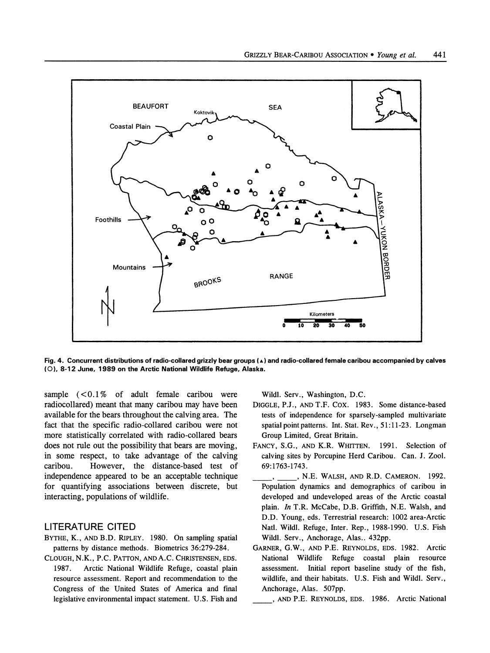

**Fig. 4. Concurrent distributions of radio-collared grizzly bear groups (A) and radio-collared female caribou accompanied by calves (0), 8-12 June, 1989 on the Arctic National Wildlife Refuge, Alaska.** 

**sample (<0.1% of adult female caribou were radiocollared) meant that many caribou may have been available for the bears throughout the calving area. The fact that the specific radio-collared caribou were not more statistically correlated with radio-collared bears does not rule out the possibility that bears are moving, in some respect, to take advantage of the calving caribou. However, the distance-based test of independence appeared to be an acceptable technique for quantifying associations between discrete, but interacting, populations of wildlife.** 

### **LITERATURE CITED**

- **BYTHE, K., AND B.D. RIPLEY. 1980. On sampling spatial patterns by distance methods. Biometrics 36:279-284.**
- **CLOUGH, N.K., P.C. PATTON, AND A.C. CHRISTENSEN, EDS. 1987. Arctic National Wildlife Refuge, coastal plain resource assessment. Report and recommendation to the Congress of the United States of America and final legislative environmental impact statement. U.S. Fish and**

**Wildl. Serv., Washington, D.C.** 

- **DIGGLE, P.J., AND T.F. Cox. 1983. Some distance-based tests of independence for sparsely-sampled multivariate spatial point patterns. Int. Stat. Rev., 51:11-23. Longman Group Limited, Great Britain.**
- **FANCY, S.G., AND K.R. WHITTEN. 1991. Selection of calving sites by Porcupine Herd Caribou. Can. J. Zool. 69:1763-1743.**
- **, \_ , N.E. WALSH, AND R.D. CAMERON. 1992. Population dynamics and demographics of caribou in developed and undeveloped areas of the Arctic coastal plain. In T.R. McCabe, D.B. Griffith, N.E. Walsh, and D.D. Young, eds. Terrestrial research: 1002 area-Arctic Natl. Wildl. Refuge, Inter. Rep., 1988-1990. U.S. Fish Wildl. Serv., Anchorage, Alas.. 432pp.**
- **GARNER, G.W., AND P.E. REYNOLDS, EDS. 1982. Arctic National Wildlife Refuge coastal plain resource assessment. Initial report baseline study of the fish, wildlife, and their habitats. U.S. Fish and Wildl. Serv., Anchorage, Alas. 507pp.** 
	- **,AND P.E. REYNOLDS, EDS. 1986. Arctic National**